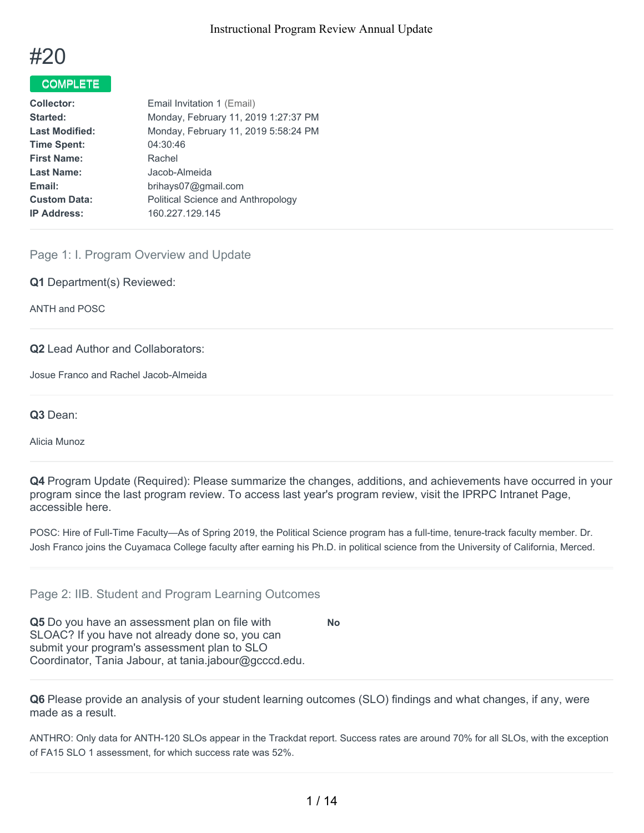

# COMPLETE

| <b>Collector:</b>     | Email Invitation 1 (Email)           |
|-----------------------|--------------------------------------|
| Started:              | Monday, February 11, 2019 1:27:37 PM |
| <b>Last Modified:</b> | Monday, February 11, 2019 5:58:24 PM |
| <b>Time Spent:</b>    | 04:30:46                             |
| <b>First Name:</b>    | Rachel                               |
| <b>Last Name:</b>     | Jacob-Almeida                        |
| Email:                | brihays07@gmail.com                  |
| <b>Custom Data:</b>   | Political Science and Anthropology   |
| <b>IP Address:</b>    | 160.227.129.145                      |

Page 1: I. Program Overview and Update

**Q1** Department(s) Reviewed:

ANTH and POSC

#### **Q2** Lead Author and Collaborators:

Josue Franco and Rachel Jacob-Almeida

**Q3** Dean:

Alicia Munoz

**Q4** Program Update (Required): Please summarize the changes, additions, and achievements have occurred in your program since the last program review. To access last year's program review, visit the IPRPC Intranet Page, accessible here.

POSC: Hire of Full-Time Faculty—As of Spring 2019, the Political Science program has a full-time, tenure-track faculty member. Dr. Josh Franco joins the Cuyamaca College faculty after earning his Ph.D. in political science from the University of California, Merced.

**No**

Page 2: IIB. Student and Program Learning Outcomes

**Q5** Do you have an assessment plan on file with SLOAC? If you have not already done so, you can submit your program's assessment plan to SLO Coordinator, Tania Jabour, at tania.jabour@gcccd.edu.

**Q6** Please provide an analysis of your student learning outcomes (SLO) findings and what changes, if any, were made as a result.

ANTHRO: Only data for ANTH-120 SLOs appear in the Trackdat report. Success rates are around 70% for all SLOs, with the exception of FA15 SLO 1 assessment, for which success rate was 52%.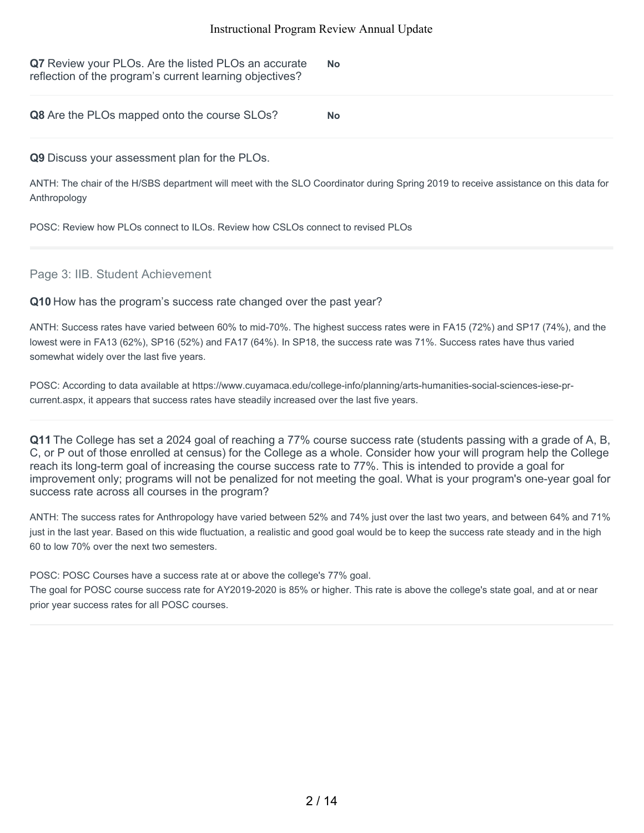| Q7 Review your PLOs. Are the listed PLOs an accurate<br>reflection of the program's current learning objectives? | <b>No</b> |
|------------------------------------------------------------------------------------------------------------------|-----------|
| Q8 Are the PLOs mapped onto the course SLOs?                                                                     | <b>No</b> |

#### **Q9** Discuss your assessment plan for the PLOs.

ANTH: The chair of the H/SBS department will meet with the SLO Coordinator during Spring 2019 to receive assistance on this data for Anthropology

POSC: Review how PLOs connect to ILOs. Review how CSLOs connect to revised PLOs

## Page 3: IIB. Student Achievement

#### **Q10** How has the program's success rate changed over the past year?

ANTH: Success rates have varied between 60% to mid-70%. The highest success rates were in FA15 (72%) and SP17 (74%), and the lowest were in FA13 (62%), SP16 (52%) and FA17 (64%). In SP18, the success rate was 71%. Success rates have thus varied somewhat widely over the last five years.

POSC: According to data available at https://www.cuyamaca.edu/college-info/planning/arts-humanities-social-sciences-iese-prcurrent.aspx, it appears that success rates have steadily increased over the last five years.

**Q11** The College has set a 2024 goal of reaching a 77% course success rate (students passing with a grade of A, B, C, or P out of those enrolled at census) for the College as a whole. Consider how your will program help the College reach its long-term goal of increasing the course success rate to 77%. This is intended to provide a goal for improvement only; programs will not be penalized for not meeting the goal. What is your program's one-year goal for success rate across all courses in the program?

ANTH: The success rates for Anthropology have varied between 52% and 74% just over the last two years, and between 64% and 71% just in the last year. Based on this wide fluctuation, a realistic and good goal would be to keep the success rate steady and in the high 60 to low 70% over the next two semesters.

POSC: POSC Courses have a success rate at or above the college's 77% goal.

The goal for POSC course success rate for AY2019-2020 is 85% or higher. This rate is above the college's state goal, and at or near prior year success rates for all POSC courses.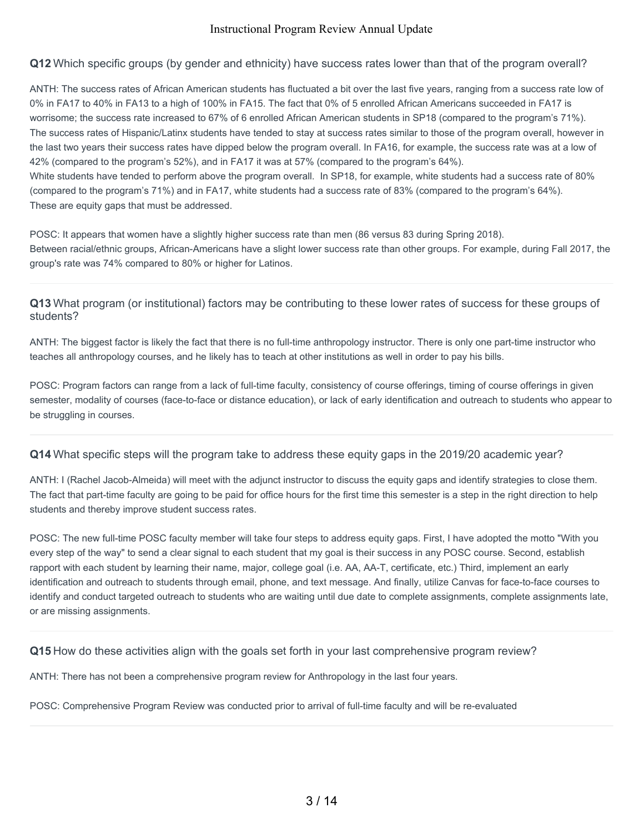**Q12** Which specific groups (by gender and ethnicity) have success rates lower than that of the program overall?

ANTH: The success rates of African American students has fluctuated a bit over the last five years, ranging from a success rate low of 0% in FA17 to 40% in FA13 to a high of 100% in FA15. The fact that 0% of 5 enrolled African Americans succeeded in FA17 is worrisome; the success rate increased to 67% of 6 enrolled African American students in SP18 (compared to the program's 71%). The success rates of Hispanic/Latinx students have tended to stay at success rates similar to those of the program overall, however in the last two years their success rates have dipped below the program overall. In FA16, for example, the success rate was at a low of 42% (compared to the program's 52%), and in FA17 it was at 57% (compared to the program's 64%). White students have tended to perform above the program overall. In SP18, for example, white students had a success rate of 80% (compared to the program's 71%) and in FA17, white students had a success rate of 83% (compared to the program's 64%). These are equity gaps that must be addressed.

POSC: It appears that women have a slightly higher success rate than men (86 versus 83 during Spring 2018). Between racial/ethnic groups, African-Americans have a slight lower success rate than other groups. For example, during Fall 2017, the group's rate was 74% compared to 80% or higher for Latinos.

**Q13** What program (or institutional) factors may be contributing to these lower rates of success for these groups of students?

ANTH: The biggest factor is likely the fact that there is no full-time anthropology instructor. There is only one part-time instructor who teaches all anthropology courses, and he likely has to teach at other institutions as well in order to pay his bills.

POSC: Program factors can range from a lack of full-time faculty, consistency of course offerings, timing of course offerings in given semester, modality of courses (face-to-face or distance education), or lack of early identification and outreach to students who appear to be struggling in courses.

**Q14** What specific steps will the program take to address these equity gaps in the 2019/20 academic year?

ANTH: I (Rachel Jacob-Almeida) will meet with the adjunct instructor to discuss the equity gaps and identify strategies to close them. The fact that part-time faculty are going to be paid for office hours for the first time this semester is a step in the right direction to help students and thereby improve student success rates.

POSC: The new full-time POSC faculty member will take four steps to address equity gaps. First, I have adopted the motto "With you every step of the way" to send a clear signal to each student that my goal is their success in any POSC course. Second, establish rapport with each student by learning their name, major, college goal (i.e. AA, AA-T, certificate, etc.) Third, implement an early identification and outreach to students through email, phone, and text message. And finally, utilize Canvas for face-to-face courses to identify and conduct targeted outreach to students who are waiting until due date to complete assignments, complete assignments late, or are missing assignments.

**Q15** How do these activities align with the goals set forth in your last comprehensive program review?

ANTH: There has not been a comprehensive program review for Anthropology in the last four years.

POSC: Comprehensive Program Review was conducted prior to arrival of full-time faculty and will be re-evaluated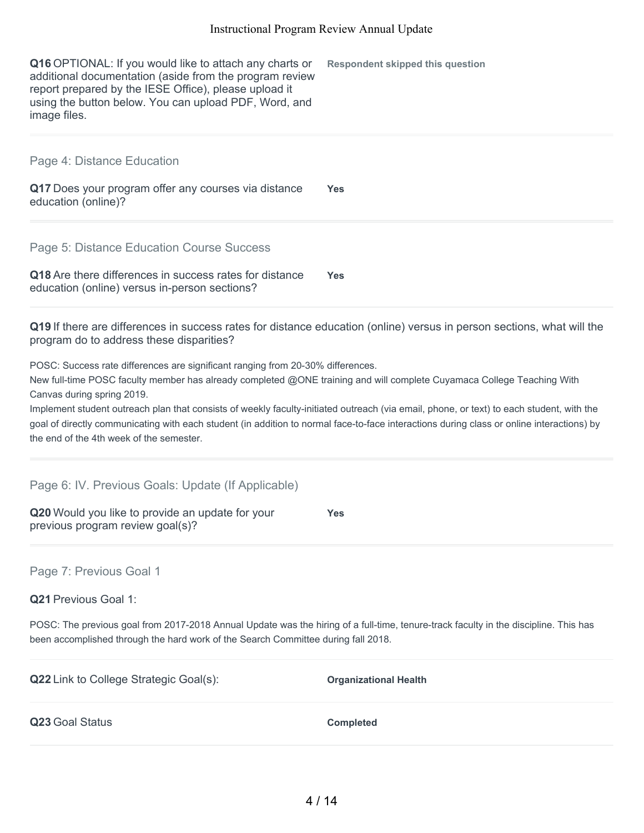**Q16** OPTIONAL: If you would like to attach any charts or additional documentation (aside from the program review report prepared by the IESE Office), please upload it using the button below. You can upload PDF, Word, and image files. **Respondent skipped this question**

Page 4: Distance Education

**Q17** Does your program offer any courses via distance education (online)? **Yes**

Page 5: Distance Education Course Success

| <b>Q18</b> Are there differences in success rates for distance | <b>Yes</b> |
|----------------------------------------------------------------|------------|
| education (online) versus in-person sections?                  |            |

**Q19** If there are differences in success rates for distance education (online) versus in person sections, what will the program do to address these disparities?

POSC: Success rate differences are significant ranging from 20-30% differences.

New full-time POSC faculty member has already completed @ONE training and will complete Cuyamaca College Teaching With Canvas during spring 2019.

Implement student outreach plan that consists of weekly faculty-initiated outreach (via email, phone, or text) to each student, with the goal of directly communicating with each student (in addition to normal face-to-face interactions during class or online interactions) by the end of the 4th week of the semester.

Page 6: IV. Previous Goals: Update (If Applicable)

| Q20 Would you like to provide an update for your | <b>Yes</b> |
|--------------------------------------------------|------------|
| previous program review goal(s)?                 |            |

Page 7: Previous Goal 1

**Q21** Previous Goal 1:

POSC: The previous goal from 2017-2018 Annual Update was the hiring of a full-time, tenure-track faculty in the discipline. This has been accomplished through the hard work of the Search Committee during fall 2018.

| <b>Q22</b> Link to College Strategic Goal(s): | <b>Organizational Health</b> |
|-----------------------------------------------|------------------------------|
| Q23 Goal Status                               | <b>Completed</b>             |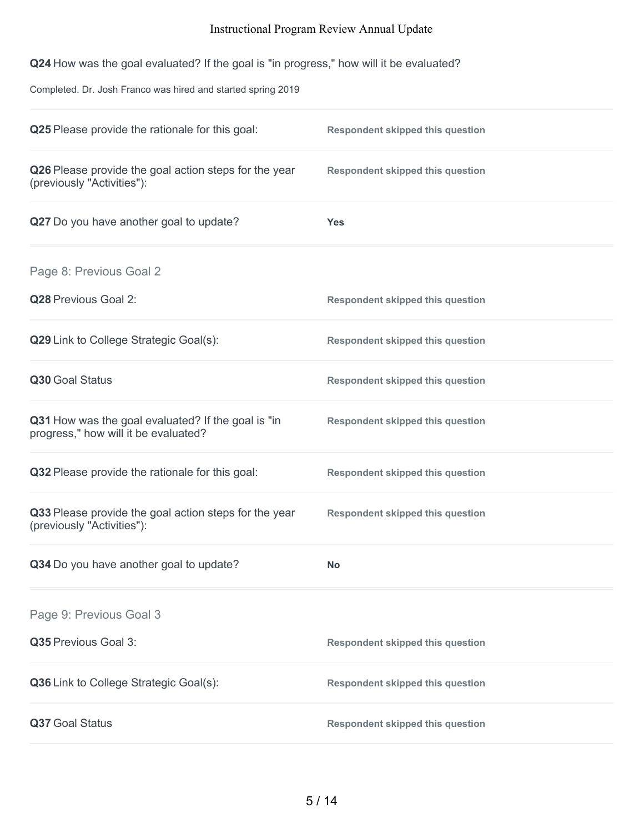**Q24** How was the goal evaluated? If the goal is "in progress," how will it be evaluated?

Completed. Dr. Josh Franco was hired and started spring 2019

| Q25 Please provide the rationale for this goal:                                            | <b>Respondent skipped this question</b> |
|--------------------------------------------------------------------------------------------|-----------------------------------------|
| Q26 Please provide the goal action steps for the year<br>(previously "Activities"):        | <b>Respondent skipped this question</b> |
| Q27 Do you have another goal to update?                                                    | <b>Yes</b>                              |
| Page 8: Previous Goal 2                                                                    |                                         |
| Q28 Previous Goal 2:                                                                       | <b>Respondent skipped this question</b> |
| Q29 Link to College Strategic Goal(s):                                                     | <b>Respondent skipped this question</b> |
| Q30 Goal Status                                                                            | <b>Respondent skipped this question</b> |
| Q31 How was the goal evaluated? If the goal is "in<br>progress," how will it be evaluated? | <b>Respondent skipped this question</b> |
| Q32 Please provide the rationale for this goal:                                            | <b>Respondent skipped this question</b> |
| Q33 Please provide the goal action steps for the year<br>(previously "Activities"):        | <b>Respondent skipped this question</b> |
| Q34 Do you have another goal to update?                                                    | <b>No</b>                               |
| Page 9: Previous Goal 3                                                                    |                                         |
| Q35 Previous Goal 3:                                                                       | <b>Respondent skipped this question</b> |
| Q36 Link to College Strategic Goal(s):                                                     | <b>Respondent skipped this question</b> |
| Q37 Goal Status                                                                            | <b>Respondent skipped this question</b> |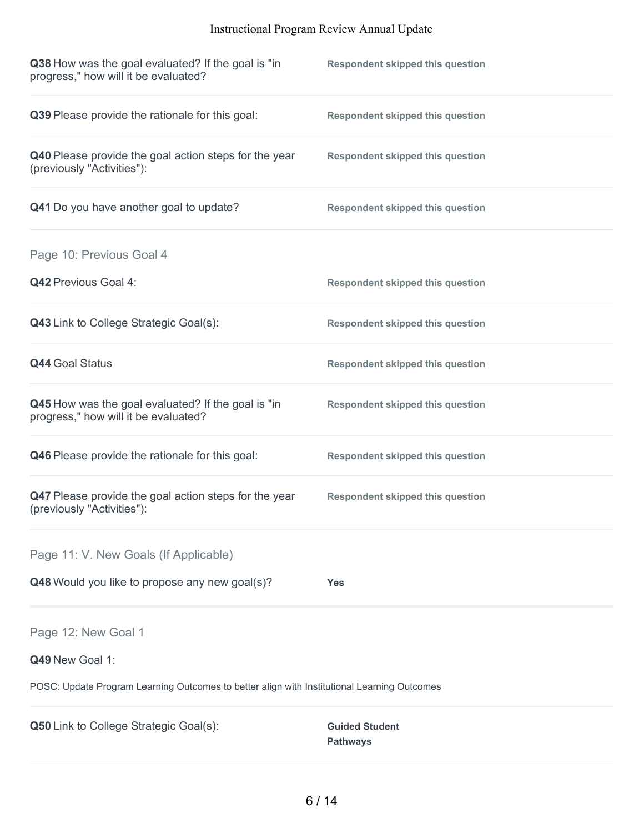| Q38 How was the goal evaluated? If the goal is "in<br>progress," how will it be evaluated?  | <b>Respondent skipped this question</b>  |
|---------------------------------------------------------------------------------------------|------------------------------------------|
| Q39 Please provide the rationale for this goal:                                             | <b>Respondent skipped this question</b>  |
| Q40 Please provide the goal action steps for the year<br>(previously "Activities"):         | <b>Respondent skipped this question</b>  |
| Q41 Do you have another goal to update?                                                     | <b>Respondent skipped this question</b>  |
| Page 10: Previous Goal 4                                                                    |                                          |
| <b>Q42 Previous Goal 4:</b>                                                                 | <b>Respondent skipped this question</b>  |
| Q43 Link to College Strategic Goal(s):                                                      | <b>Respondent skipped this question</b>  |
| <b>Q44 Goal Status</b>                                                                      | <b>Respondent skipped this question</b>  |
| Q45 How was the goal evaluated? If the goal is "in<br>progress," how will it be evaluated?  | <b>Respondent skipped this question</b>  |
| Q46 Please provide the rationale for this goal:                                             | <b>Respondent skipped this question</b>  |
| Q47 Please provide the goal action steps for the year<br>(previously "Activities"):         | <b>Respondent skipped this question</b>  |
| Page 11: V. New Goals (If Applicable)                                                       |                                          |
| Q48 Would you like to propose any new goal(s)?                                              | Yes                                      |
| Page 12: New Goal 1                                                                         |                                          |
| Q49 New Goal 1:                                                                             |                                          |
| POSC: Update Program Learning Outcomes to better align with Institutional Learning Outcomes |                                          |
| Q50 Link to College Strategic Goal(s):                                                      | <b>Guided Student</b><br><b>Pathways</b> |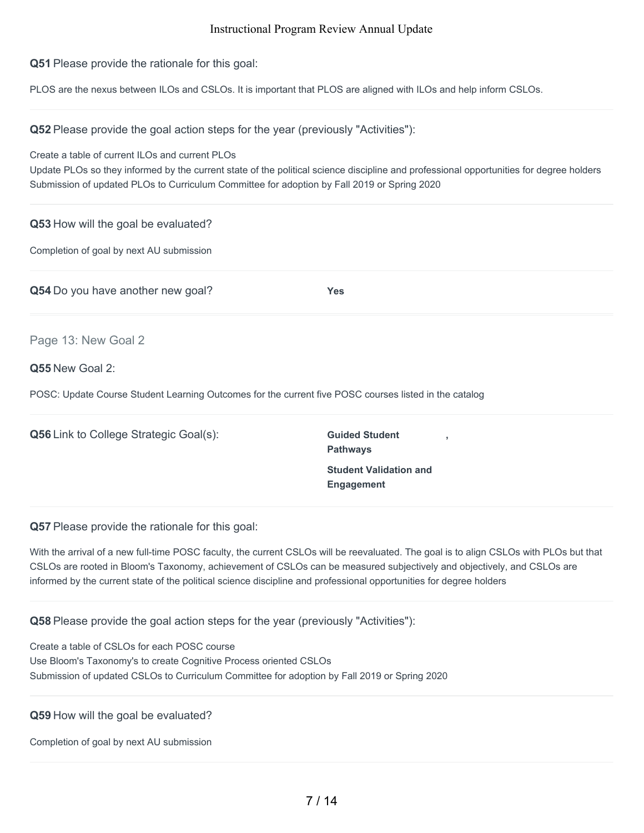**Q51** Please provide the rationale for this goal:

PLOS are the nexus between ILOs and CSLOs. It is important that PLOS are aligned with ILOs and help inform CSLOs.

**Q52** Please provide the goal action steps for the year (previously "Activities"):

Create a table of current ILOs and current PLOs

Update PLOs so they informed by the current state of the political science discipline and professional opportunities for degree holders Submission of updated PLOs to Curriculum Committee for adoption by Fall 2019 or Spring 2020

| Q53 How will the goal be evaluated?                                                                   |                                                |  |
|-------------------------------------------------------------------------------------------------------|------------------------------------------------|--|
| Completion of goal by next AU submission                                                              |                                                |  |
| Q54 Do you have another new goal?                                                                     | <b>Yes</b>                                     |  |
| Page 13: New Goal 2                                                                                   |                                                |  |
| Q55 New Goal 2:                                                                                       |                                                |  |
| POSC: Update Course Student Learning Outcomes for the current five POSC courses listed in the catalog |                                                |  |
| <b>Q56</b> Link to College Strategic Goal(s):                                                         | <b>Guided Student</b><br>J.<br><b>Pathways</b> |  |

**Q57** Please provide the rationale for this goal:

With the arrival of a new full-time POSC faculty, the current CSLOs will be reevaluated. The goal is to align CSLOs with PLOs but that CSLOs are rooted in Bloom's Taxonomy, achievement of CSLOs can be measured subjectively and objectively, and CSLOs are informed by the current state of the political science discipline and professional opportunities for degree holders

**Student Validation and**

**Engagement**

#### **Q58** Please provide the goal action steps for the year (previously "Activities"):

Create a table of CSLOs for each POSC course Use Bloom's Taxonomy's to create Cognitive Process oriented CSLOs Submission of updated CSLOs to Curriculum Committee for adoption by Fall 2019 or Spring 2020

**Q59** How will the goal be evaluated?

Completion of goal by next AU submission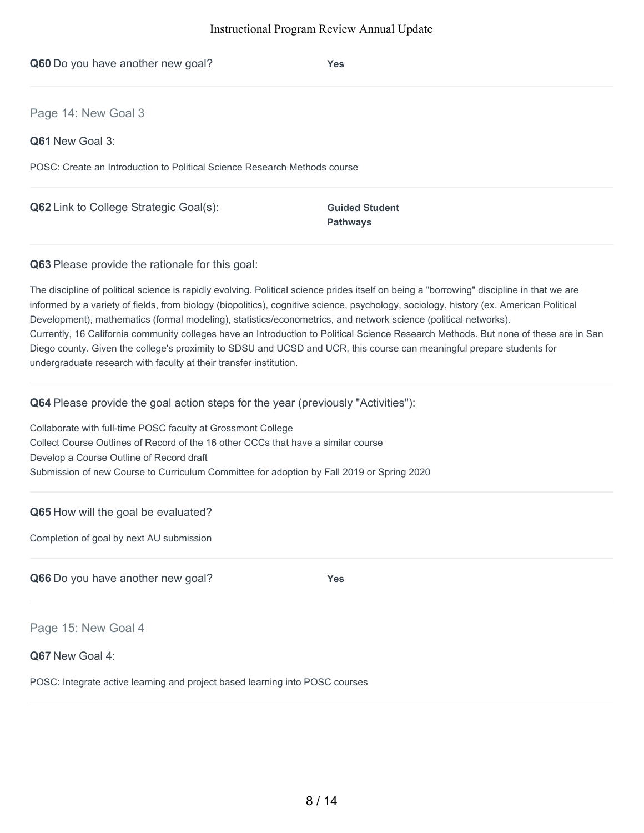| Q60 Do you have another new goal?                                                                                                                                                                                                                                                                                                                                                                      | <b>Yes</b>                               |
|--------------------------------------------------------------------------------------------------------------------------------------------------------------------------------------------------------------------------------------------------------------------------------------------------------------------------------------------------------------------------------------------------------|------------------------------------------|
| Page 14: New Goal 3                                                                                                                                                                                                                                                                                                                                                                                    |                                          |
| Q61 New Goal 3:                                                                                                                                                                                                                                                                                                                                                                                        |                                          |
| POSC: Create an Introduction to Political Science Research Methods course                                                                                                                                                                                                                                                                                                                              |                                          |
| Q62 Link to College Strategic Goal(s):                                                                                                                                                                                                                                                                                                                                                                 | <b>Guided Student</b><br><b>Pathways</b> |
| Q63 Please provide the rationale for this goal:                                                                                                                                                                                                                                                                                                                                                        |                                          |
| The discipline of political science is rapidly evolving. Political science prides itself on being a "borrowing" discipline in that we are<br>informed by a variety of fields, from biology (biopolitics), cognitive science, psychology, sociology, history (ex. American Political<br>Development), mathematics (formal modeling), statistics/econometrics, and network science (political networks). |                                          |

Currently, 16 California community colleges have an Introduction to Political Science Research Methods. But none of these are in San Diego county. Given the college's proximity to SDSU and UCSD and UCR, this course can meaningful prepare students for undergraduate research with faculty at their transfer institution.

**Q64** Please provide the goal action steps for the year (previously "Activities"):

Collaborate with full-time POSC faculty at Grossmont College Collect Course Outlines of Record of the 16 other CCCs that have a similar course Develop a Course Outline of Record draft Submission of new Course to Curriculum Committee for adoption by Fall 2019 or Spring 2020

# **Q65** How will the goal be evaluated?

Completion of goal by next AU submission

**Q66** Do you have another new goal? **Yes**

Page 15: New Goal 4

## **Q67** New Goal 4:

POSC: Integrate active learning and project based learning into POSC courses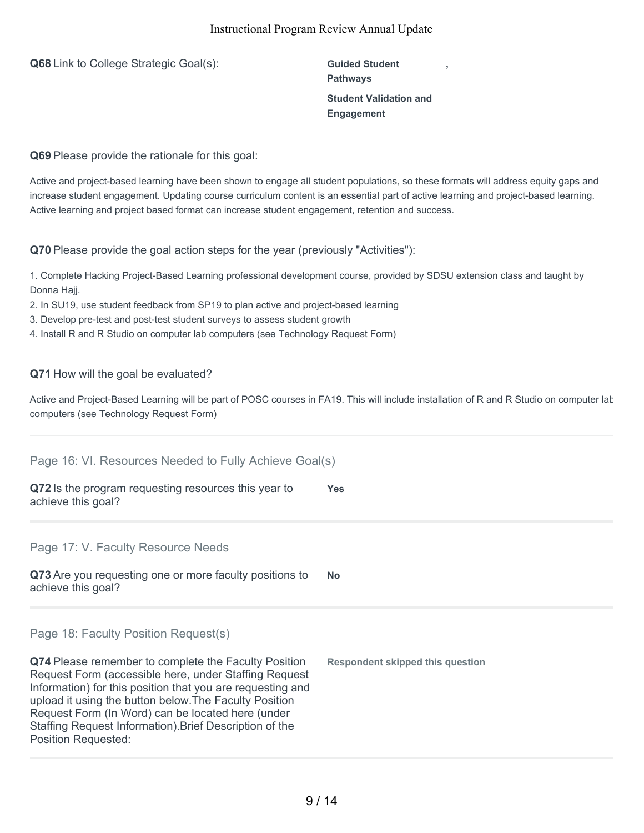**Q68** Link to College Strategic Goal(s): **Guided Student** 

**Pathways Student Validation and Engagement**

**,**

**Q69** Please provide the rationale for this goal:

Active and project-based learning have been shown to engage all student populations, so these formats will address equity gaps and increase student engagement. Updating course curriculum content is an essential part of active learning and project-based learning. Active learning and project based format can increase student engagement, retention and success.

**Q70** Please provide the goal action steps for the year (previously "Activities"):

1. Complete Hacking Project-Based Learning professional development course, provided by SDSU extension class and taught by Donna Hajj.

- 2. In SU19, use student feedback from SP19 to plan active and project-based learning
- 3. Develop pre-test and post-test student surveys to assess student growth
- 4. Install R and R Studio on computer lab computers (see Technology Request Form)

# **Q71** How will the goal be evaluated?

Position Requested:

Active and Project-Based Learning will be part of POSC courses in FA19. This will include installation of R and R Studio on computer lab computers (see Technology Request Form)

| Page 16: VI. Resources Needed to Fully Achieve Goal(s)                                                                                                                                                                                                                                                                                                |                                         |
|-------------------------------------------------------------------------------------------------------------------------------------------------------------------------------------------------------------------------------------------------------------------------------------------------------------------------------------------------------|-----------------------------------------|
| Q72 Is the program requesting resources this year to<br>achieve this goal?                                                                                                                                                                                                                                                                            | Yes                                     |
| Page 17: V. Faculty Resource Needs                                                                                                                                                                                                                                                                                                                    |                                         |
| Q73 Are you requesting one or more faculty positions to<br>achieve this goal?                                                                                                                                                                                                                                                                         | <b>No</b>                               |
| Page 18: Faculty Position Request(s)                                                                                                                                                                                                                                                                                                                  |                                         |
| Q74 Please remember to complete the Faculty Position<br>Request Form (accessible here, under Staffing Request<br>Information) for this position that you are requesting and<br>upload it using the button below. The Faculty Position<br>Request Form (In Word) can be located here (under<br>Staffing Request Information). Brief Description of the | <b>Respondent skipped this question</b> |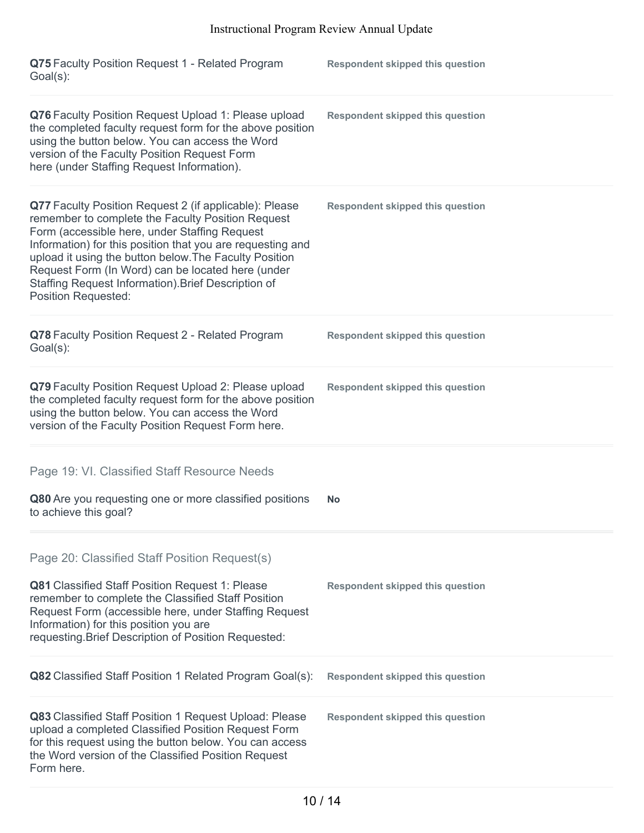| Q75 Faculty Position Request 1 - Related Program<br>Goal(s):                                                                                                                                                                                                                                                                                                                                                                   | <b>Respondent skipped this question</b> |
|--------------------------------------------------------------------------------------------------------------------------------------------------------------------------------------------------------------------------------------------------------------------------------------------------------------------------------------------------------------------------------------------------------------------------------|-----------------------------------------|
| Q76 Faculty Position Request Upload 1: Please upload<br>the completed faculty request form for the above position<br>using the button below. You can access the Word<br>version of the Faculty Position Request Form<br>here (under Staffing Request Information).                                                                                                                                                             | <b>Respondent skipped this question</b> |
| Q77 Faculty Position Request 2 (if applicable): Please<br>remember to complete the Faculty Position Request<br>Form (accessible here, under Staffing Request<br>Information) for this position that you are requesting and<br>upload it using the button below. The Faculty Position<br>Request Form (In Word) can be located here (under<br>Staffing Request Information). Brief Description of<br><b>Position Requested:</b> | <b>Respondent skipped this question</b> |
| Q78 Faculty Position Request 2 - Related Program<br>Goal(s):                                                                                                                                                                                                                                                                                                                                                                   | <b>Respondent skipped this question</b> |
| Q79 Faculty Position Request Upload 2: Please upload<br>the completed faculty request form for the above position<br>using the button below. You can access the Word<br>version of the Faculty Position Request Form here.                                                                                                                                                                                                     | <b>Respondent skipped this question</b> |
| Page 19: VI. Classified Staff Resource Needs                                                                                                                                                                                                                                                                                                                                                                                   |                                         |
| Q80 Are you requesting one or more classified positions<br>to achieve this goal?                                                                                                                                                                                                                                                                                                                                               | <b>No</b>                               |
| Page 20: Classified Staff Position Request(s)<br>Q81 Classified Staff Position Request 1: Please<br>remember to complete the Classified Staff Position<br>Request Form (accessible here, under Staffing Request<br>Information) for this position you are<br>requesting. Brief Description of Position Requested:                                                                                                              | <b>Respondent skipped this question</b> |
| Q82 Classified Staff Position 1 Related Program Goal(s):                                                                                                                                                                                                                                                                                                                                                                       | <b>Respondent skipped this question</b> |
| Q83 Classified Staff Position 1 Request Upload: Please<br>upload a completed Classified Position Request Form<br>for this request using the button below. You can access<br>the Word version of the Classified Position Request<br>Form here.                                                                                                                                                                                  | <b>Respondent skipped this question</b> |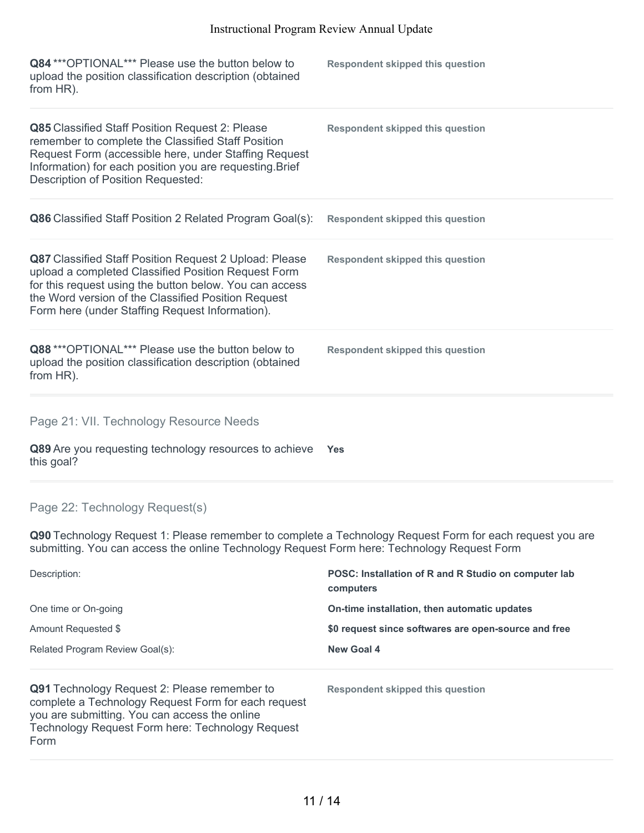| Q84 *** OPTIONAL*** Please use the button below to<br>upload the position classification description (obtained<br>from HR).                                                                                                                                                        | <b>Respondent skipped this question</b> |
|------------------------------------------------------------------------------------------------------------------------------------------------------------------------------------------------------------------------------------------------------------------------------------|-----------------------------------------|
| Q85 Classified Staff Position Request 2: Please<br>remember to complete the Classified Staff Position<br>Request Form (accessible here, under Staffing Request<br>Information) for each position you are requesting. Brief<br><b>Description of Position Requested:</b>            | <b>Respondent skipped this question</b> |
| Q86 Classified Staff Position 2 Related Program Goal(s):                                                                                                                                                                                                                           | <b>Respondent skipped this question</b> |
| Q87 Classified Staff Position Request 2 Upload: Please<br>upload a completed Classified Position Request Form<br>for this request using the button below. You can access<br>the Word version of the Classified Position Request<br>Form here (under Staffing Request Information). | <b>Respondent skipped this question</b> |
| Q88 *** OPTIONAL *** Please use the button below to<br>upload the position classification description (obtained<br>from HR).                                                                                                                                                       | <b>Respondent skipped this question</b> |
| Page 21: VII. Technology Resource Needs                                                                                                                                                                                                                                            |                                         |
| Q89 Are you requesting technology resources to achieve<br>this goal?                                                                                                                                                                                                               | <b>Yes</b>                              |

# Page 22: Technology Request(s)

**Q90** Technology Request 1: Please remember to complete a Technology Request Form for each request you are submitting. You can access the online Technology Request Form here: Technology Request Form

| Description:                                                                                                                                                                                                            | POSC: Installation of R and R Studio on computer lab<br>computers |  |
|-------------------------------------------------------------------------------------------------------------------------------------------------------------------------------------------------------------------------|-------------------------------------------------------------------|--|
| One time or On-going                                                                                                                                                                                                    | On-time installation, then automatic updates                      |  |
| Amount Requested \$                                                                                                                                                                                                     | \$0 request since softwares are open-source and free              |  |
| Related Program Review Goal(s):                                                                                                                                                                                         | New Goal 4                                                        |  |
| <b>Q91</b> Technology Request 2: Please remember to<br>complete a Technology Request Form for each request<br>you are submitting. You can access the online<br>Technology Request Form here: Technology Request<br>Form | Respondent skipped this question                                  |  |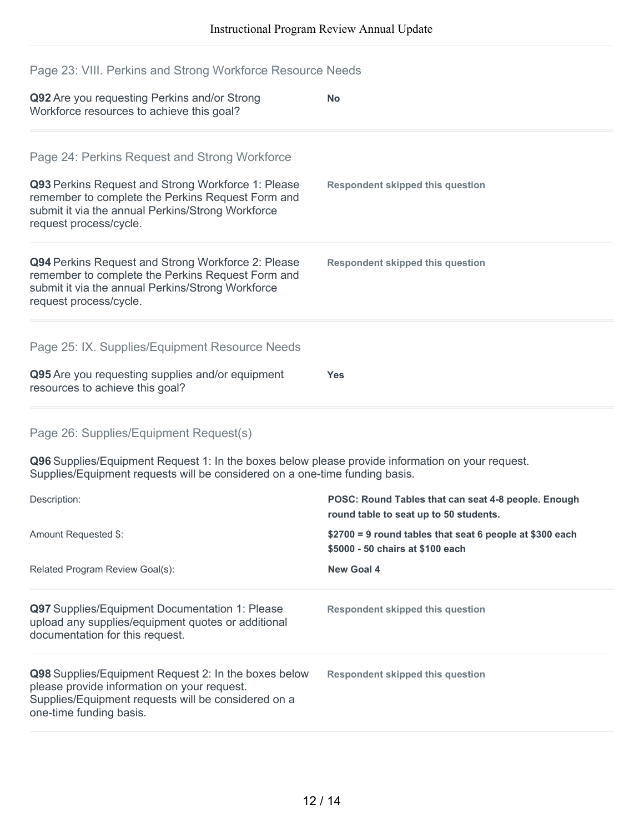# Page 23: VIII. Perkins and Strong Workforce Resource Needs

| Q92 Are you requesting Perkins and/or Strong<br>Workforce resources to achieve this goal?                                                                                              | <b>No</b>                                                                                     |
|----------------------------------------------------------------------------------------------------------------------------------------------------------------------------------------|-----------------------------------------------------------------------------------------------|
| Page 24: Perkins Request and Strong Workforce                                                                                                                                          |                                                                                               |
| Q93 Perkins Request and Strong Workforce 1: Please<br>remember to complete the Perkins Request Form and<br>submit it via the annual Perkins/Strong Workforce<br>request process/cycle. | <b>Respondent skipped this question</b>                                                       |
| Q94 Perkins Request and Strong Workforce 2: Please<br>remember to complete the Perkins Request Form and<br>submit it via the annual Perkins/Strong Workforce<br>request process/cycle. | <b>Respondent skipped this question</b>                                                       |
| Page 25: IX. Supplies/Equipment Resource Needs                                                                                                                                         |                                                                                               |
| Q95 Are you requesting supplies and/or equipment<br>resources to achieve this goal?                                                                                                    | <b>Yes</b>                                                                                    |
| Page 26: Supplies/Equipment Request(s)                                                                                                                                                 |                                                                                               |
| Q96 Supplies/Equipment Request 1: In the boxes below please provide information on your request.<br>Supplies/Equipment requests will be considered on a one-time funding basis.        |                                                                                               |
| Description:                                                                                                                                                                           | POSC: Round Tables that can seat 4-8 people. Enough<br>round table to seat up to 50 students. |
| Amount Requested \$:                                                                                                                                                                   | \$2700 = 9 round tables that seat 6 people at \$300 each<br>\$5000 - 50 chairs at \$100 each  |
| Related Program Review Goal(s):                                                                                                                                                        | <b>New Goal 4</b>                                                                             |
| Q97 Supplies/Equipment Documentation 1: Please<br>upload any supplies/equipment quotes or additional<br>documentation for this request.                                                | <b>Respondent skipped this question</b>                                                       |

**Q98** Supplies/Equipment Request 2: In the boxes below please provide information on your request. Supplies/Equipment requests will be considered on a one-time funding basis. **Respondent skipped this question**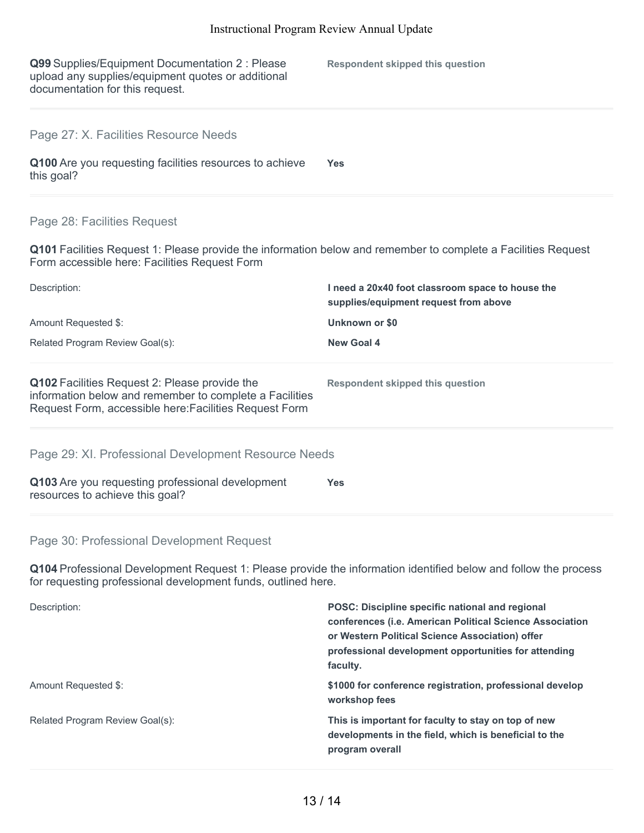| Q99 Supplies/Equipment Documentation 2 : Please<br>upload any supplies/equipment quotes or additional<br>documentation for this request.                                         | <b>Respondent skipped this question</b>                                                   |  |
|----------------------------------------------------------------------------------------------------------------------------------------------------------------------------------|-------------------------------------------------------------------------------------------|--|
| Page 27: X. Facilities Resource Needs                                                                                                                                            |                                                                                           |  |
| Q100 Are you requesting facilities resources to achieve<br>this goal?                                                                                                            | <b>Yes</b>                                                                                |  |
| Page 28: Facilities Request                                                                                                                                                      |                                                                                           |  |
| Q101 Facilities Request 1: Please provide the information below and remember to complete a Facilities Request<br>Form accessible here: Facilities Request Form                   |                                                                                           |  |
| Description:                                                                                                                                                                     | I need a 20x40 foot classroom space to house the<br>supplies/equipment request from above |  |
| Amount Requested \$:                                                                                                                                                             | Unknown or \$0                                                                            |  |
| Related Program Review Goal(s):                                                                                                                                                  | <b>New Goal 4</b>                                                                         |  |
| Q102 Facilities Request 2: Please provide the<br>information below and remember to complete a Facilities<br>Request Form, accessible here: Facilities Request Form               | <b>Respondent skipped this question</b>                                                   |  |
| Page 29: XI. Professional Development Resource Needs                                                                                                                             |                                                                                           |  |
| Q103 Are you requesting professional development<br>resources to achieve this goal?                                                                                              | <b>Yes</b>                                                                                |  |
| Page 30: Professional Development Request                                                                                                                                        |                                                                                           |  |
| Q104 Professional Development Request 1: Please provide the information identified below and follow the process<br>for requesting professional development funds, outlined here. |                                                                                           |  |

| Description:                    | <b>POSC: Discipline specific national and regional</b><br>conferences (i.e. American Political Science Association<br>or Western Political Science Association) offer<br>professional development opportunities for attending<br>faculty. |
|---------------------------------|-------------------------------------------------------------------------------------------------------------------------------------------------------------------------------------------------------------------------------------------|
| Amount Requested \$:            | \$1000 for conference registration, professional develop<br>workshop fees                                                                                                                                                                 |
| Related Program Review Goal(s): | This is important for faculty to stay on top of new<br>developments in the field, which is beneficial to the<br>program overall                                                                                                           |